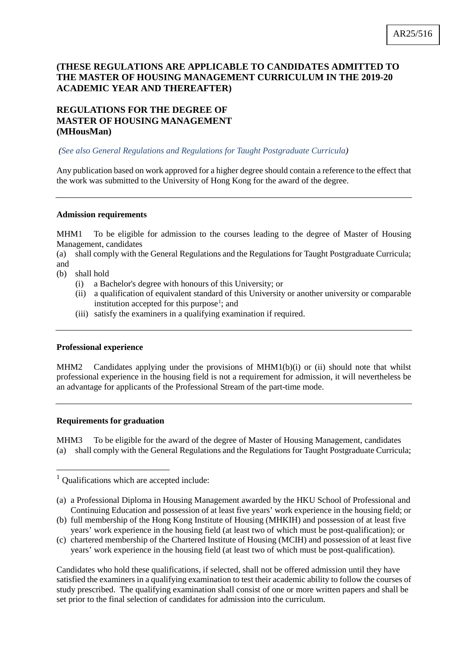# **(THESE REGULATIONS ARE APPLICABLE TO CANDIDATES ADMITTED TO THE MASTER OF HOUSING MANAGEMENT CURRICULUM IN THE 2019-20 ACADEMIC YEAR AND THEREAFTER)**

# **REGULATIONS FOR THE DEGREE OF MASTER OF HOUSING MANAGEMENT (MHousMan)**

# *(See also General Regulations and Regulations for Taught Postgraduate Curricula)*

Any publication based on work approved for a higher degree should contain a reference to the effect that the work was submitted to the University of Hong Kong for the award of the degree.

# **Admission requirements**

MHM1 To be eligible for admission to the courses leading to the degree of Master of Housing Management, candidates

(a) shall comply with the General Regulations and the Regulations for Taught Postgraduate Curricula; and

- (b) shall hold
	- (i) a Bachelor's degree with honours of this University; or
	- (ii) a qualification of equivalent standard of this University or another university or comparable institution accepted for this purpose<sup>[1](#page-0-0)</sup>; and
	- (iii) satisfy the examiners in a qualifying examination if required.

# **Professional experience**

MHM2 Candidates applying under the provisions of MHM1(b)(i) or (ii) should note that whilst professional experience in the housing field is not a requirement for admission, it will nevertheless be an advantage for applicants of the Professional Stream of the part-time mode.

# **Requirements for graduation**

MHM3 To be eligible for the award of the degree of Master of Housing Management, candidates (a) shall comply with the General Regulations and the Regulations for Taught Postgraduate Curricula;

<span id="page-0-0"></span><sup>&</sup>lt;sup>1</sup> Qualifications which are accepted include:

<sup>(</sup>a) a Professional Diploma in Housing Management awarded by the HKU School of Professional and Continuing Education and possession of at least five years' work experience in the housing field; or

<sup>(</sup>b) full membership of the Hong Kong Institute of Housing (MHKIH) and possession of at least five years' work experience in the housing field (at least two of which must be post-qualification); or

<sup>(</sup>c) chartered membership of the Chartered Institute of Housing (MCIH) and possession of at least five years' work experience in the housing field (at least two of which must be post-qualification).

Candidates who hold these qualifications, if selected, shall not be offered admission until they have satisfied the examiners in a qualifying examination to test their academic ability to follow the courses of study prescribed. The qualifying examination shall consist of one or more written papers and shall be set prior to the final selection of candidates for admission into the curriculum.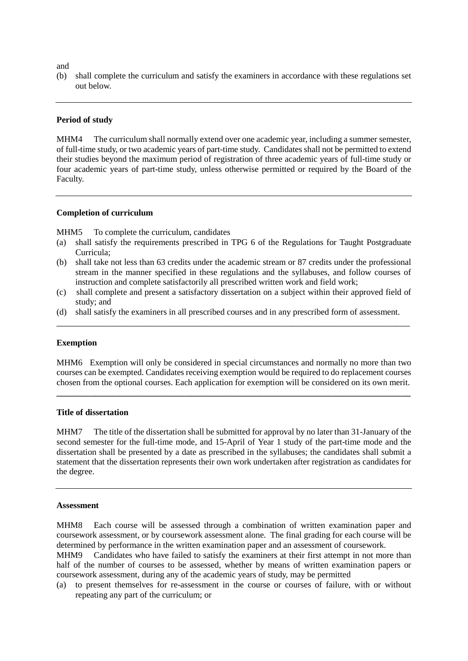and

(b) shall complete the curriculum and satisfy the examiners in accordance with these regulations set out below.

#### **Period of study**

MHM4 The curriculum shall normally extend over one academic year, including a summer semester, of full-time study, or two academic years of part-time study. Candidates shall not be permitted to extend their studies beyond the maximum period of registration of three academic years of full-time study or four academic years of part-time study, unless otherwise permitted or required by the Board of the Faculty.

#### **Completion of curriculum**

MHM5 To complete the curriculum, candidates

- (a) shall satisfy the requirements prescribed in TPG 6 of the Regulations for Taught Postgraduate Curricula;
- (b) shall take not less than 63 credits under the academic stream or 87 credits under the professional stream in the manner specified in these regulations and the syllabuses, and follow courses of instruction and complete satisfactorily all prescribed written work and field work;
- (c) shall complete and present a satisfactory dissertation on a subject within their approved field of study; and
- (d) shall satisfy the examiners in all prescribed courses and in any prescribed form of assessment. \_\_\_\_\_\_\_\_\_\_\_\_\_\_\_\_\_\_\_\_\_\_\_\_\_\_\_\_\_\_\_\_\_\_\_\_\_\_\_\_\_\_\_\_\_\_\_\_\_\_\_\_\_\_\_\_\_\_\_\_\_\_\_\_\_\_\_\_\_\_\_\_\_\_\_

#### **Exemption**

MHM6 Exemption will only be considered in special circumstances and normally no more than two courses can be exempted. Candidates receiving exemption would be required to do replacement courses chosen from the optional courses. Each application for exemption will be considered on its own merit.

**\_\_\_\_\_\_\_\_\_\_\_\_\_\_\_\_\_\_\_\_\_\_\_\_\_\_\_\_\_\_\_\_\_\_\_\_\_\_\_\_\_\_\_\_\_\_\_\_\_\_\_\_\_\_\_\_\_\_\_\_\_\_\_\_\_\_\_\_\_\_\_\_\_\_\_\_\_\_\_\_\_\_**

#### **Title of dissertation**

MHM7 The title of the dissertation shall be submitted for approval by no later than 31-January of the second semester for the full-time mode, and 15-April of Year 1 study of the part-time mode and the dissertation shall be presented by a date as prescribed in the syllabuses; the candidates shall submit a statement that the dissertation represents their own work undertaken after registration as candidates for the degree.

#### **Assessment**

MHM8 Each course will be assessed through a combination of written examination paper and coursework assessment, or by coursework assessment alone. The final grading for each course will be determined by performance in the written examination paper and an assessment of coursework.

MHM9 Candidates who have failed to satisfy the examiners at their first attempt in not more than half of the number of courses to be assessed, whether by means of written examination papers or coursework assessment, during any of the academic years of study, may be permitted

(a) to present themselves for re-assessment in the course or courses of failure, with or without repeating any part of the curriculum; or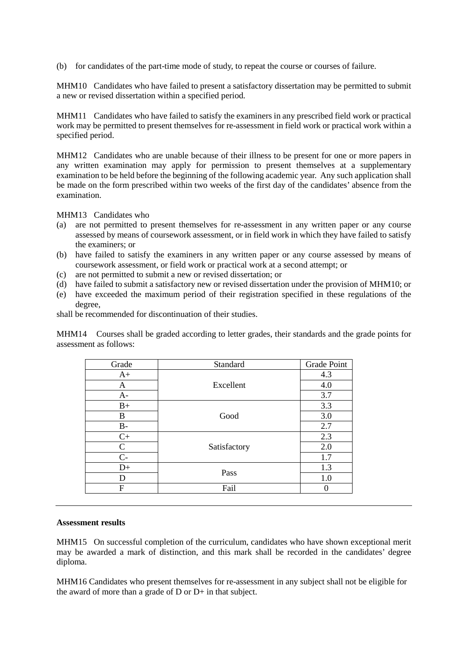(b) for candidates of the part-time mode of study, to repeat the course or courses of failure.

MHM10 Candidates who have failed to present a satisfactory dissertation may be permitted to submit a new or revised dissertation within a specified period.

MHM11 Candidates who have failed to satisfy the examiners in any prescribed field work or practical work may be permitted to present themselves for re-assessment in field work or practical work within a specified period.

MHM12 Candidates who are unable because of their illness to be present for one or more papers in any written examination may apply for permission to present themselves at a supplementary examination to be held before the beginning of the following academic year. Any such application shall be made on the form prescribed within two weeks of the first day of the candidates' absence from the examination.

MHM13 Candidates who

- (a) are not permitted to present themselves for re-assessment in any written paper or any course assessed by means of coursework assessment, or in field work in which they have failed to satisfy the examiners; or
- (b) have failed to satisfy the examiners in any written paper or any course assessed by means of coursework assessment, or field work or practical work at a second attempt; or
- (c) are not permitted to submit a new or revised dissertation; or
- (d) have failed to submit a satisfactory new or revised dissertation under the provision of MHM10; or
- (e) have exceeded the maximum period of their registration specified in these regulations of the degree,

shall be recommended for discontinuation of their studies.

MHM14 Courses shall be graded according to letter grades, their standards and the grade points for assessment as follows:

| Grade       | Standard     | Grade Point |
|-------------|--------------|-------------|
| $A+$        | Excellent    | 4.3         |
| A           |              | 4.0         |
| $A-$        |              | 3.7         |
| $B+$        | Good         | 3.3         |
| B           |              | 3.0         |
| $B -$       |              | 2.7         |
| $C+$        | Satisfactory | 2.3         |
| $\mathbf C$ |              | 2.0         |
| $C-$        |              | 1.7         |
| $D+$        | Pass         | 1.3         |
| D           |              | 1.0         |
| F           | Fail         |             |

#### **Assessment results**

MHM15 On successful completion of the curriculum, candidates who have shown exceptional merit may be awarded a mark of distinction, and this mark shall be recorded in the candidates' degree diploma.

MHM16 Candidates who present themselves for re-assessment in any subject shall not be eligible for the award of more than a grade of D or D+ in that subject.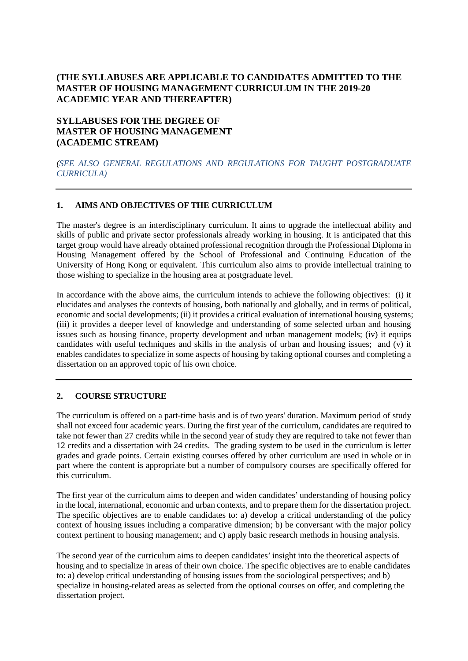# **(THE SYLLABUSES ARE APPLICABLE TO CANDIDATES ADMITTED TO THE MASTER OF HOUSING MANAGEMENT CURRICULUM IN THE 2019-20 ACADEMIC YEAR AND THEREAFTER)**

# **SYLLABUSES FOR THE DEGREE OF MASTER OF HOUSING MANAGEMENT (ACADEMIC STREAM)**

# *(SEE ALSO GENERAL REGULATIONS AND REGULATIONS FOR TAUGHT POSTGRADUATE CURRICULA)*

# **1. AIMS AND OBJECTIVES OF THE CURRICULUM**

The master's degree is an interdisciplinary curriculum. It aims to upgrade the intellectual ability and skills of public and private sector professionals already working in housing. It is anticipated that this target group would have already obtained professional recognition through the Professional Diploma in Housing Management offered by the School of Professional and Continuing Education of the University of Hong Kong or equivalent. This curriculum also aims to provide intellectual training to those wishing to specialize in the housing area at postgraduate level.

In accordance with the above aims, the curriculum intends to achieve the following objectives: (i) it elucidates and analyses the contexts of housing, both nationally and globally, and in terms of political, economic and social developments; (ii) it provides a critical evaluation of international housing systems; (iii) it provides a deeper level of knowledge and understanding of some selected urban and housing issues such as housing finance, property development and urban management models; (iv) it equips candidates with useful techniques and skills in the analysis of urban and housing issues; and (v) it enables candidates to specialize in some aspects of housing by taking optional courses and completing a dissertation on an approved topic of his own choice.

# **2. COURSE STRUCTURE**

The curriculum is offered on a part-time basis and is of two years' duration. Maximum period of study shall not exceed four academic years. During the first year of the curriculum, candidates are required to take not fewer than 27 credits while in the second year of study they are required to take not fewer than 12 credits and a dissertation with 24 credits. The grading system to be used in the curriculum is letter grades and grade points. Certain existing courses offered by other curriculum are used in whole or in part where the content is appropriate but a number of compulsory courses are specifically offered for this curriculum.

The first year of the curriculum aims to deepen and widen candidates' understanding of housing policy in the local, international, economic and urban contexts, and to prepare them for the dissertation project. The specific objectives are to enable candidates to: a) develop a critical understanding of the policy context of housing issues including a comparative dimension; b) be conversant with the major policy context pertinent to housing management; and c) apply basic research methods in housing analysis.

The second year of the curriculum aims to deepen candidates' insight into the theoretical aspects of housing and to specialize in areas of their own choice. The specific objectives are to enable candidates to: a) develop critical understanding of housing issues from the sociological perspectives; and b) specialize in housing-related areas as selected from the optional courses on offer, and completing the dissertation project.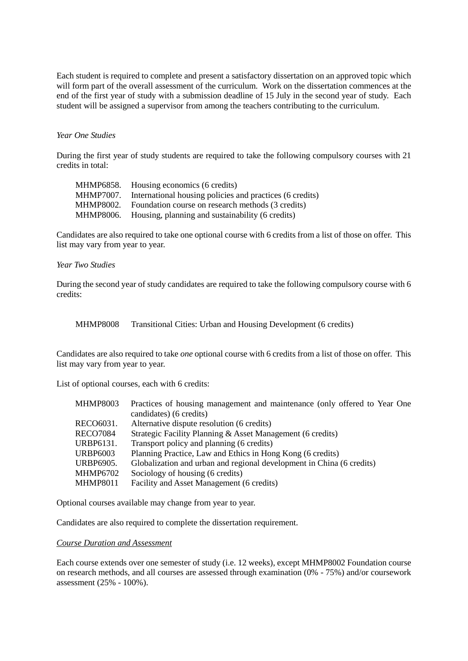Each student is required to complete and present a satisfactory dissertation on an approved topic which will form part of the overall assessment of the curriculum. Work on the dissertation commences at the end of the first year of study with a submission deadline of 15 July in the second year of study. Each student will be assigned a supervisor from among the teachers contributing to the curriculum.

### *Year One Studies*

During the first year of study students are required to take the following compulsory courses with 21 credits in total:

| MHMP6858. | Housing economics (6 credits)                            |
|-----------|----------------------------------------------------------|
| MHMP7007. | International housing policies and practices (6 credits) |
| MHMP8002. | Foundation course on research methods (3 credits)        |
| MHMP8006. | Housing, planning and sustainability (6 credits)         |

Candidates are also required to take one optional course with 6 credits from a list of those on offer. This list may vary from year to year.

### *Year Two Studies*

During the second year of study candidates are required to take the following compulsory course with 6 credits:

MHMP8008 Transitional Cities: Urban and Housing Development (6 credits)

Candidates are also required to take *one* optional course with 6 credits from a list of those on offer. This list may vary from year to year.

List of optional courses, each with 6 credits:

| <b>MHMP8003</b> | Practices of housing management and maintenance (only offered to Year One |
|-----------------|---------------------------------------------------------------------------|
|                 | candidates) (6 credits)                                                   |
| RECO6031.       | Alternative dispute resolution (6 credits)                                |
| <b>RECO7084</b> | Strategic Facility Planning & Asset Management (6 credits)                |
| URBP6131.       | Transport policy and planning (6 credits)                                 |
| URBP6003        | Planning Practice, Law and Ethics in Hong Kong (6 credits)                |
| URBP6905.       | Globalization and urban and regional development in China (6 credits)     |
| <b>MHMP6702</b> | Sociology of housing (6 credits)                                          |
| <b>MHMP8011</b> | Facility and Asset Management (6 credits)                                 |

Optional courses available may change from year to year.

Candidates are also required to complete the dissertation requirement.

#### *Course Duration and Assessment*

Each course extends over one semester of study (i.e. 12 weeks), except MHMP8002 Foundation course on research methods, and all courses are assessed through examination (0% - 75%) and/or coursework assessment (25% - 100%).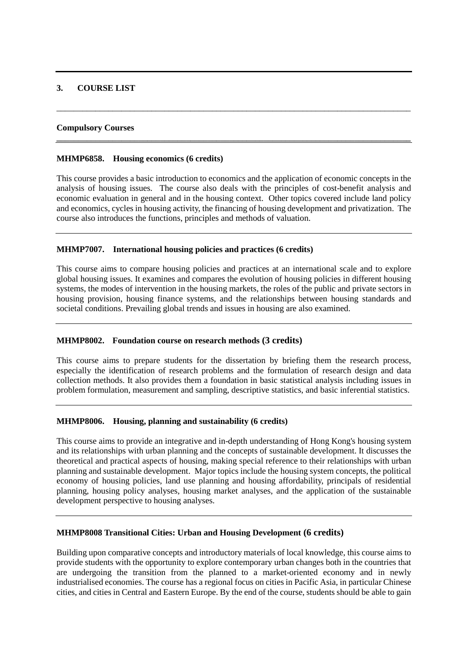# **3. COURSE LIST**

### **Compulsory Courses**

#### **MHMP6858. Housing economics (6 credits)**

This course provides a basic introduction to economics and the application of economic concepts in the analysis of housing issues. The course also deals with the principles of cost-benefit analysis and economic evaluation in general and in the housing context. Other topics covered include land policy and economics, cycles in housing activity, the financing of housing development and privatization. The course also introduces the functions, principles and methods of valuation.

\_\_\_\_\_\_\_\_\_\_\_\_\_\_\_\_\_\_\_\_\_\_\_\_\_\_\_\_\_\_\_\_\_\_\_\_\_\_\_\_\_\_\_\_\_\_\_\_\_\_\_\_\_\_\_\_\_\_\_\_\_\_\_\_\_\_\_\_\_\_\_\_\_\_\_\_\_\_\_\_\_\_

**\_\_\_\_\_\_\_\_\_\_\_\_\_\_\_\_\_\_\_\_\_\_\_\_\_\_\_\_\_\_\_\_\_\_\_\_\_\_\_\_\_\_\_\_\_\_\_\_\_\_\_\_\_\_\_\_\_\_\_\_\_\_\_\_\_\_\_\_\_\_\_\_\_\_\_\_\_\_\_\_\_\_**

### **MHMP7007. International housing policies and practices (6 credits)**

This course aims to compare housing policies and practices at an international scale and to explore global housing issues. It examines and compares the evolution of housing policies in different housing systems, the modes of intervention in the housing markets, the roles of the public and private sectors in housing provision, housing finance systems, and the relationships between housing standards and societal conditions. Prevailing global trends and issues in housing are also examined.

# **MHMP8002. Foundation course on research methods (3 credits)**

This course aims to prepare students for the dissertation by briefing them the research process, especially the identification of research problems and the formulation of research design and data collection methods. It also provides them a foundation in basic statistical analysis including issues in problem formulation, measurement and sampling, descriptive statistics, and basic inferential statistics.

# **MHMP8006. Housing, planning and sustainability (6 credits)**

This course aims to provide an integrative and in-depth understanding of Hong Kong's housing system and its relationships with urban planning and the concepts of sustainable development. It discusses the theoretical and practical aspects of housing, making special reference to their relationships with urban planning and sustainable development. Major topics include the housing system concepts, the political economy of housing policies, land use planning and housing affordability, principals of residential planning, housing policy analyses, housing market analyses, and the application of the sustainable development perspective to housing analyses.

# **MHMP8008 Transitional Cities: Urban and Housing Development (6 credits)**

Building upon comparative concepts and introductory materials of local knowledge, this course aims to provide students with the opportunity to explore contemporary urban changes both in the countries that are undergoing the transition from the planned to a market-oriented economy and in newly industrialised economies. The course has a regional focus on cities in Pacific Asia, in particular Chinese cities, and cities in Central and Eastern Europe. By the end of the course, students should be able to gain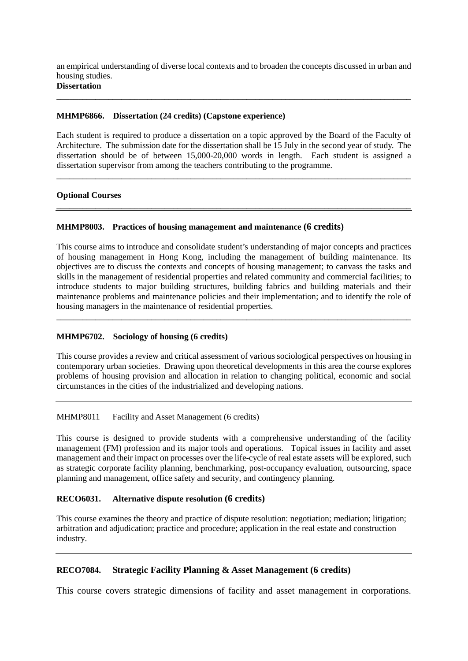an empirical understanding of diverse local contexts and to broaden the concepts discussed in urban and housing studies.

**\_\_\_\_\_\_\_\_\_\_\_\_\_\_\_\_\_\_\_\_\_\_\_\_\_\_\_\_\_\_\_\_\_\_\_\_\_\_\_\_\_\_\_\_\_\_\_\_\_\_\_\_\_\_\_\_\_\_\_\_\_\_\_\_\_\_\_\_\_\_\_\_\_\_\_\_\_\_\_\_\_\_**

# **Dissertation**

# **MHMP6866. Dissertation (24 credits) (Capstone experience)**

Each student is required to produce a dissertation on a topic approved by the Board of the Faculty of Architecture. The submission date for the dissertation shall be 15 July in the second year of study. The dissertation should be of between 15,000-20,000 words in length. Each student is assigned a dissertation supervisor from among the teachers contributing to the programme.

\_\_\_\_\_\_\_\_\_\_\_\_\_\_\_\_\_\_\_\_\_\_\_\_\_\_\_\_\_\_\_\_\_\_\_\_\_\_\_\_\_\_\_\_\_\_\_\_\_\_\_\_\_\_\_\_\_\_\_\_\_\_\_\_\_\_\_\_\_\_\_\_\_\_\_\_\_\_\_\_\_\_

**\_\_\_\_\_\_\_\_\_\_\_\_\_\_\_\_\_\_\_\_\_\_\_\_\_\_\_\_\_\_\_\_\_\_\_\_\_\_\_\_\_\_\_\_\_\_\_\_\_\_\_\_\_\_\_\_\_\_\_\_\_\_\_\_\_\_\_\_\_\_\_\_\_\_\_\_\_\_\_\_\_\_**

# **Optional Courses**

# **MHMP8003. Practices of housing management and maintenance (6 credits)**

This course aims to introduce and consolidate student's understanding of major concepts and practices of housing management in Hong Kong, including the management of building maintenance. Its objectives are to discuss the contexts and concepts of housing management; to canvass the tasks and skills in the management of residential properties and related community and commercial facilities; to introduce students to major building structures, building fabrics and building materials and their maintenance problems and maintenance policies and their implementation; and to identify the role of housing managers in the maintenance of residential properties.

\_\_\_\_\_\_\_\_\_\_\_\_\_\_\_\_\_\_\_\_\_\_\_\_\_\_\_\_\_\_\_\_\_\_\_\_\_\_\_\_\_\_\_\_\_\_\_\_\_\_\_\_\_\_\_\_\_\_\_\_\_\_\_\_\_\_\_\_\_\_\_\_\_\_\_\_\_\_\_\_\_\_

# **MHMP6702. Sociology of housing (6 credits)**

This course provides a review and critical assessment of various sociological perspectives on housing in contemporary urban societies. Drawing upon theoretical developments in this area the course explores problems of housing provision and allocation in relation to changing political, economic and social circumstances in the cities of the industrialized and developing nations.

# MHMP8011 Facility and Asset Management (6 credits)

This course is designed to provide students with a comprehensive understanding of the facility management (FM) profession and its major tools and operations. Topical issues in facility and asset management and their impact on processes over the life-cycle of real estate assets will be explored, such as strategic corporate facility planning, benchmarking, post-occupancy evaluation, outsourcing, space planning and management, office safety and security, and contingency planning.

# **RECO6031. Alternative dispute resolution (6 credits)**

This course examines the theory and practice of dispute resolution: negotiation; mediation; litigation; arbitration and adjudication; practice and procedure; application in the real estate and construction industry.

# **RECO7084. Strategic Facility Planning & Asset Management (6 credits)**

This course covers strategic dimensions of facility and asset management in corporations.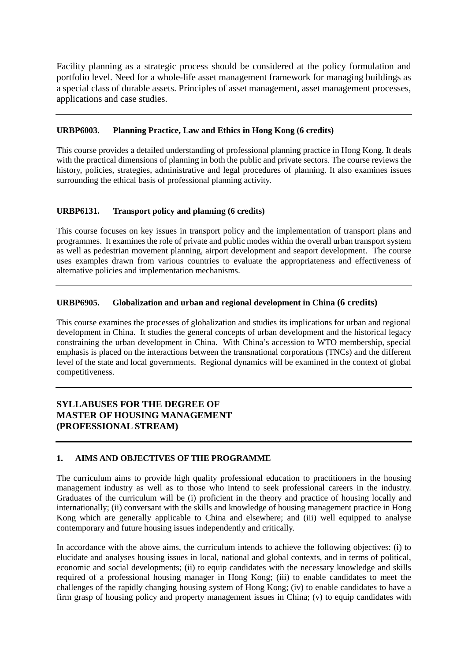Facility planning as a strategic process should be considered at the policy formulation and portfolio level. Need for a whole-life asset management framework for managing buildings as a special class of durable assets. Principles of asset management, asset management processes, applications and case studies.

# **URBP6003. Planning Practice, Law and Ethics in Hong Kong (6 credits)**

This course provides a detailed understanding of professional planning practice in Hong Kong. It deals with the practical dimensions of planning in both the public and private sectors. The course reviews the history, policies, strategies, administrative and legal procedures of planning. It also examines issues surrounding the ethical basis of professional planning activity.

# **URBP6131. Transport policy and planning (6 credits)**

This course focuses on key issues in transport policy and the implementation of transport plans and programmes. It examines the role of private and public modes within the overall urban transport system as well as pedestrian movement planning, airport development and seaport development. The course uses examples drawn from various countries to evaluate the appropriateness and effectiveness of alternative policies and implementation mechanisms.

# **URBP6905. Globalization and urban and regional development in China (6 credits)**

This course examines the processes of globalization and studies its implications for urban and regional development in China. It studies the general concepts of urban development and the historical legacy constraining the urban development in China. With China's accession to WTO membership, special emphasis is placed on the interactions between the transnational corporations (TNCs) and the different level of the state and local governments. Regional dynamics will be examined in the context of global competitiveness.

# **SYLLABUSES FOR THE DEGREE OF MASTER OF HOUSING MANAGEMENT (PROFESSIONAL STREAM)**

# **1. AIMS AND OBJECTIVES OF THE PROGRAMME**

The curriculum aims to provide high quality professional education to practitioners in the housing management industry as well as to those who intend to seek professional careers in the industry. Graduates of the curriculum will be (i) proficient in the theory and practice of housing locally and internationally; (ii) conversant with the skills and knowledge of housing management practice in Hong Kong which are generally applicable to China and elsewhere; and (iii) well equipped to analyse contemporary and future housing issues independently and critically.

In accordance with the above aims, the curriculum intends to achieve the following objectives: (i) to elucidate and analyses housing issues in local, national and global contexts, and in terms of political, economic and social developments; (ii) to equip candidates with the necessary knowledge and skills required of a professional housing manager in Hong Kong; (iii) to enable candidates to meet the challenges of the rapidly changing housing system of Hong Kong; (iv) to enable candidates to have a firm grasp of housing policy and property management issues in China; (v) to equip candidates with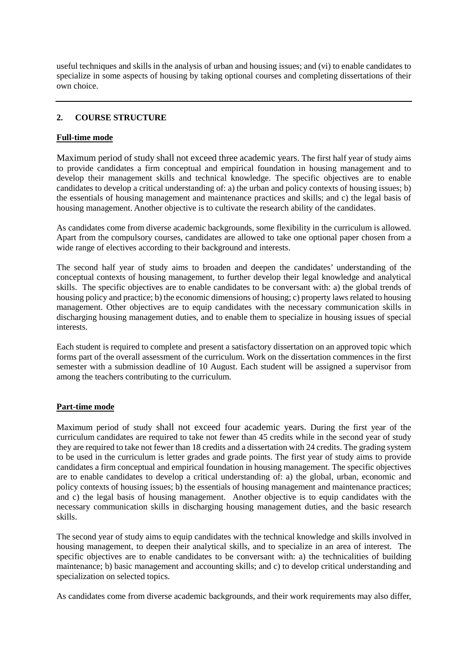useful techniques and skills in the analysis of urban and housing issues; and (vi) to enable candidates to specialize in some aspects of housing by taking optional courses and completing dissertations of their own choice.

# **2. COURSE STRUCTURE**

# **Full-time mode**

Maximum period of study shall not exceed three academic years. The first half year of study aims to provide candidates a firm conceptual and empirical foundation in housing management and to develop their management skills and technical knowledge. The specific objectives are to enable candidates to develop a critical understanding of: a) the urban and policy contexts of housing issues; b) the essentials of housing management and maintenance practices and skills; and c) the legal basis of housing management. Another objective is to cultivate the research ability of the candidates.

As candidates come from diverse academic backgrounds, some flexibility in the curriculum is allowed. Apart from the compulsory courses, candidates are allowed to take one optional paper chosen from a wide range of electives according to their background and interests.

The second half year of study aims to broaden and deepen the candidates' understanding of the conceptual contexts of housing management, to further develop their legal knowledge and analytical skills. The specific objectives are to enable candidates to be conversant with: a) the global trends of housing policy and practice; b) the economic dimensions of housing; c) property laws related to housing management. Other objectives are to equip candidates with the necessary communication skills in discharging housing management duties, and to enable them to specialize in housing issues of special interests.

Each student is required to complete and present a satisfactory dissertation on an approved topic which forms part of the overall assessment of the curriculum. Work on the dissertation commences in the first semester with a submission deadline of 10 August. Each student will be assigned a supervisor from among the teachers contributing to the curriculum.

# **Part-time mode**

Maximum period of study shall not exceed four academic years. During the first year of the curriculum candidates are required to take not fewer than 45 credits while in the second year of study they are required to take not fewer than 18 credits and a dissertation with 24 credits. The grading system to be used in the curriculum is letter grades and grade points. The first year of study aims to provide candidates a firm conceptual and empirical foundation in housing management. The specific objectives are to enable candidates to develop a critical understanding of: a) the global, urban, economic and policy contexts of housing issues; b) the essentials of housing management and maintenance practices; and c) the legal basis of housing management. Another objective is to equip candidates with the necessary communication skills in discharging housing management duties, and the basic research skills.

The second year of study aims to equip candidates with the technical knowledge and skills involved in housing management, to deepen their analytical skills, and to specialize in an area of interest. The specific objectives are to enable candidates to be conversant with: a) the technicalities of building maintenance; b) basic management and accounting skills; and c) to develop critical understanding and specialization on selected topics.

As candidates come from diverse academic backgrounds, and their work requirements may also differ,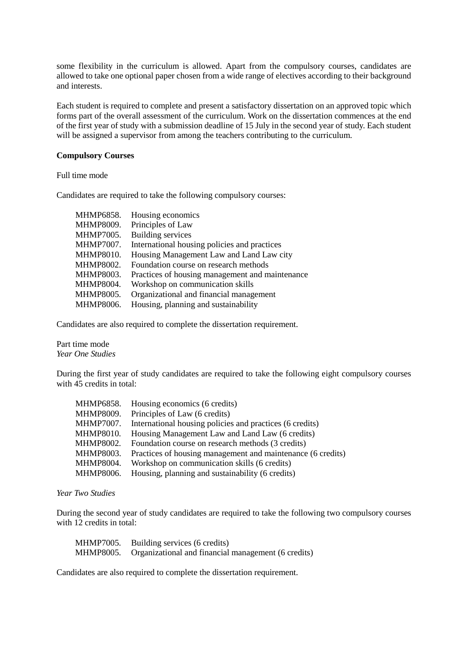some flexibility in the curriculum is allowed. Apart from the compulsory courses, candidates are allowed to take one optional paper chosen from a wide range of electives according to their background and interests.

Each student is required to complete and present a satisfactory dissertation on an approved topic which forms part of the overall assessment of the curriculum. Work on the dissertation commences at the end of the first year of study with a submission deadline of 15 July in the second year of study. Each student will be assigned a supervisor from among the teachers contributing to the curriculum.

### **Compulsory Courses**

Full time mode

Candidates are required to take the following compulsory courses:

| MHMP6858.        | Housing economics                               |
|------------------|-------------------------------------------------|
| MHMP8009.        | Principles of Law                               |
| MHMP7005.        | <b>Building services</b>                        |
| <b>MHMP7007.</b> | International housing policies and practices    |
| MHMP8010.        | Housing Management Law and Land Law city        |
| MHMP8002.        | Foundation course on research methods           |
| MHMP8003.        | Practices of housing management and maintenance |
| MHMP8004.        | Workshop on communication skills                |
| MHMP8005.        | Organizational and financial management         |
| MHMP8006.        | Housing, planning and sustainability            |

Candidates are also required to complete the dissertation requirement.

Part time mode *Year One Studies*

During the first year of study candidates are required to take the following eight compulsory courses with 45 credits in total:

| MHMP6858. | Housing economics (6 credits)                               |
|-----------|-------------------------------------------------------------|
| MHMP8009. | Principles of Law (6 credits)                               |
| MHMP7007. | International housing policies and practices (6 credits)    |
| MHMP8010. | Housing Management Law and Land Law (6 credits)             |
| MHMP8002. | Foundation course on research methods (3 credits)           |
| MHMP8003. | Practices of housing management and maintenance (6 credits) |
| MHMP8004. | Workshop on communication skills (6 credits)                |
| MHMP8006. | Housing, planning and sustainability (6 credits)            |
|           |                                                             |

*Year Two Studies*

During the second year of study candidates are required to take the following two compulsory courses with 12 credits in total:

| MHMP7005. | Building services (6 credits)                       |
|-----------|-----------------------------------------------------|
| MHMP8005. | Organizational and financial management (6 credits) |

Candidates are also required to complete the dissertation requirement.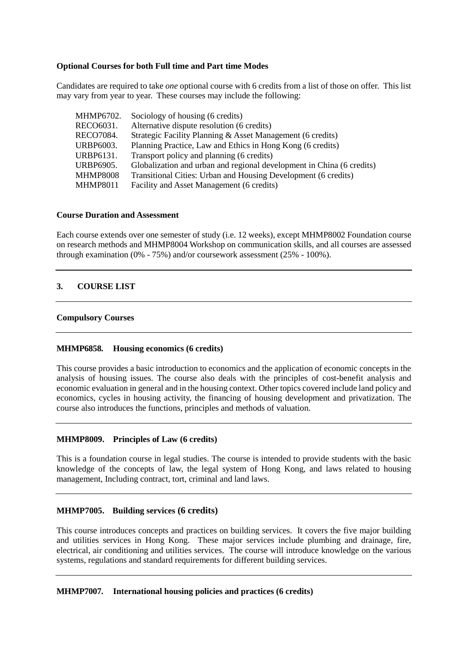# **Optional Courses for both Full time and Part time Modes**

Candidates are required to take *one* optional course with 6 credits from a list of those on offer. This list may vary from year to year. These courses may include the following:

| MHMP6702.<br>Sociology of housing (6 credits)                                             |  |
|-------------------------------------------------------------------------------------------|--|
| Alternative dispute resolution (6 credits)<br>RECO6031.                                   |  |
| Strategic Facility Planning & Asset Management (6 credits)<br>RECO7084.                   |  |
| URBP6003.<br>Planning Practice, Law and Ethics in Hong Kong (6 credits)                   |  |
| URBP6131.<br>Transport policy and planning (6 credits)                                    |  |
| <b>URBP6905.</b><br>Globalization and urban and regional development in China (6 credits) |  |
| <b>MHMP8008</b><br>Transitional Cities: Urban and Housing Development (6 credits)         |  |
| <b>MHMP8011</b><br>Facility and Asset Management (6 credits)                              |  |

### **Course Duration and Assessment**

Each course extends over one semester of study (i.e. 12 weeks), except MHMP8002 Foundation course on research methods and MHMP8004 Workshop on communication skills, and all courses are assessed through examination (0% - 75%) and/or coursework assessment (25% - 100%).

# **3. COURSE LIST**

### **Compulsory Courses**

# **MHMP6858. Housing economics (6 credits)**

This course provides a basic introduction to economics and the application of economic concepts in the analysis of housing issues. The course also deals with the principles of cost-benefit analysis and economic evaluation in general and in the housing context. Other topics covered include land policy and economics, cycles in housing activity, the financing of housing development and privatization. The course also introduces the functions, principles and methods of valuation.

#### **MHMP8009. Principles of Law (6 credits)**

This is a foundation course in legal studies. The course is intended to provide students with the basic knowledge of the concepts of law, the legal system of Hong Kong, and laws related to housing management, Including contract, tort, criminal and land laws.

#### **MHMP7005. Building services (6 credits)**

This course introduces concepts and practices on building services. It covers the five major building and utilities services in Hong Kong. These major services include plumbing and drainage, fire, electrical, air conditioning and utilities services. The course will introduce knowledge on the various systems, regulations and standard requirements for different building services.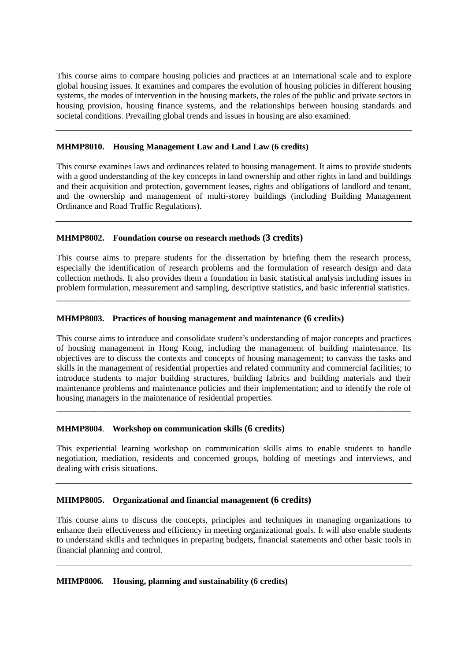This course aims to compare housing policies and practices at an international scale and to explore global housing issues. It examines and compares the evolution of housing policies in different housing systems, the modes of intervention in the housing markets, the roles of the public and private sectors in housing provision, housing finance systems, and the relationships between housing standards and societal conditions. Prevailing global trends and issues in housing are also examined.

### **MHMP8010. Housing Management Law and Land Law (6 credits)**

This course examines laws and ordinances related to housing management. It aims to provide students with a good understanding of the key concepts in land ownership and other rights in land and buildings and their acquisition and protection, government leases, rights and obligations of landlord and tenant, and the ownership and management of multi-storey buildings (including Building Management Ordinance and Road Traffic Regulations).

# **MHMP8002. Foundation course on research methods (3 credits)**

This course aims to prepare students for the dissertation by briefing them the research process, especially the identification of research problems and the formulation of research design and data collection methods. It also provides them a foundation in basic statistical analysis including issues in problem formulation, measurement and sampling, descriptive statistics, and basic inferential statistics.

\_\_\_\_\_\_\_\_\_\_\_\_\_\_\_\_\_\_\_\_\_\_\_\_\_\_\_\_\_\_\_\_\_\_\_\_\_\_\_\_\_\_\_\_\_\_\_\_\_\_\_\_\_\_\_\_\_\_\_\_\_\_\_\_\_\_\_\_\_\_\_\_\_\_\_\_\_\_\_\_\_\_

# **MHMP8003. Practices of housing management and maintenance (6 credits)**

This course aims to introduce and consolidate student's understanding of major concepts and practices of housing management in Hong Kong, including the management of building maintenance. Its objectives are to discuss the contexts and concepts of housing management; to canvass the tasks and skills in the management of residential properties and related community and commercial facilities; to introduce students to major building structures, building fabrics and building materials and their maintenance problems and maintenance policies and their implementation; and to identify the role of housing managers in the maintenance of residential properties.

\_\_\_\_\_\_\_\_\_\_\_\_\_\_\_\_\_\_\_\_\_\_\_\_\_\_\_\_\_\_\_\_\_\_\_\_\_\_\_\_\_\_\_\_\_\_\_\_\_\_\_\_\_\_\_\_\_\_\_\_\_\_\_\_\_\_\_\_\_\_\_\_\_\_\_\_\_\_\_\_\_\_

# **MHMP8004**. **Workshop on communication skills (6 credits)**

This experiential learning workshop on communication skills aims to enable students to handle negotiation, mediation, residents and concerned groups, holding of meetings and interviews, and dealing with crisis situations.

# **MHMP8005. Organizational and financial management (6 credits)**

This course aims to discuss the concepts, principles and techniques in managing organizations to enhance their effectiveness and efficiency in meeting organizational goals. It will also enable students to understand skills and techniques in preparing budgets, financial statements and other basic tools in financial planning and control.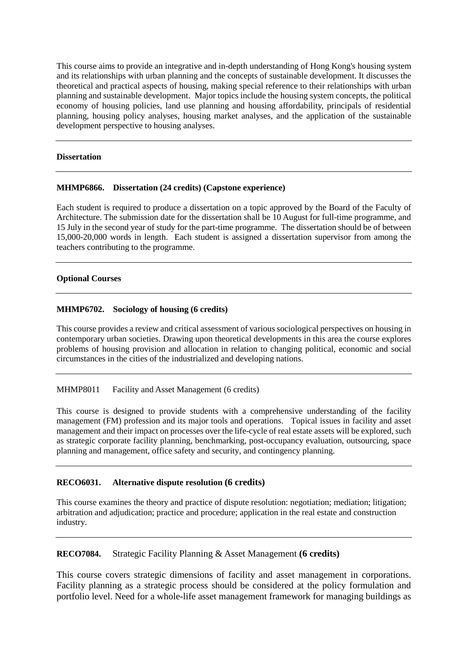This course aims to provide an integrative and in-depth understanding of Hong Kong's housing system and its relationships with urban planning and the concepts of sustainable development. It discusses the theoretical and practical aspects of housing, making special reference to their relationships with urban planning and sustainable development. Major topics include the housing system concepts, the political economy of housing policies, land use planning and housing affordability, principals of residential planning, housing policy analyses, housing market analyses, and the application of the sustainable development perspective to housing analyses.

### **Dissertation**

# **MHMP6866. Dissertation (24 credits) (Capstone experience)**

Each student is required to produce a dissertation on a topic approved by the Board of the Faculty of Architecture. The submission date for the dissertation shall be 10 August for full-time programme, and 15 July in the second year of study for the part-time programme. The dissertation should be of between 15,000-20,000 words in length. Each student is assigned a dissertation supervisor from among the teachers contributing to the programme.

### **Optional Courses**

# **MHMP6702. Sociology of housing (6 credits)**

This course provides a review and critical assessment of various sociological perspectives on housing in contemporary urban societies. Drawing upon theoretical developments in this area the course explores problems of housing provision and allocation in relation to changing political, economic and social circumstances in the cities of the industrialized and developing nations.

# MHMP8011 Facility and Asset Management (6 credits)

This course is designed to provide students with a comprehensive understanding of the facility management (FM) profession and its major tools and operations. Topical issues in facility and asset management and their impact on processes over the life-cycle of real estate assets will be explored, such as strategic corporate facility planning, benchmarking, post-occupancy evaluation, outsourcing, space planning and management, office safety and security, and contingency planning.

# **RECO6031. Alternative dispute resolution (6 credits)**

This course examines the theory and practice of dispute resolution: negotiation; mediation; litigation; arbitration and adjudication; practice and procedure; application in the real estate and construction industry.

# **RECO7084.** Strategic Facility Planning & Asset Management **(6 credits)**

This course covers strategic dimensions of facility and asset management in corporations. Facility planning as a strategic process should be considered at the policy formulation and portfolio level. Need for a whole-life asset management framework for managing buildings as